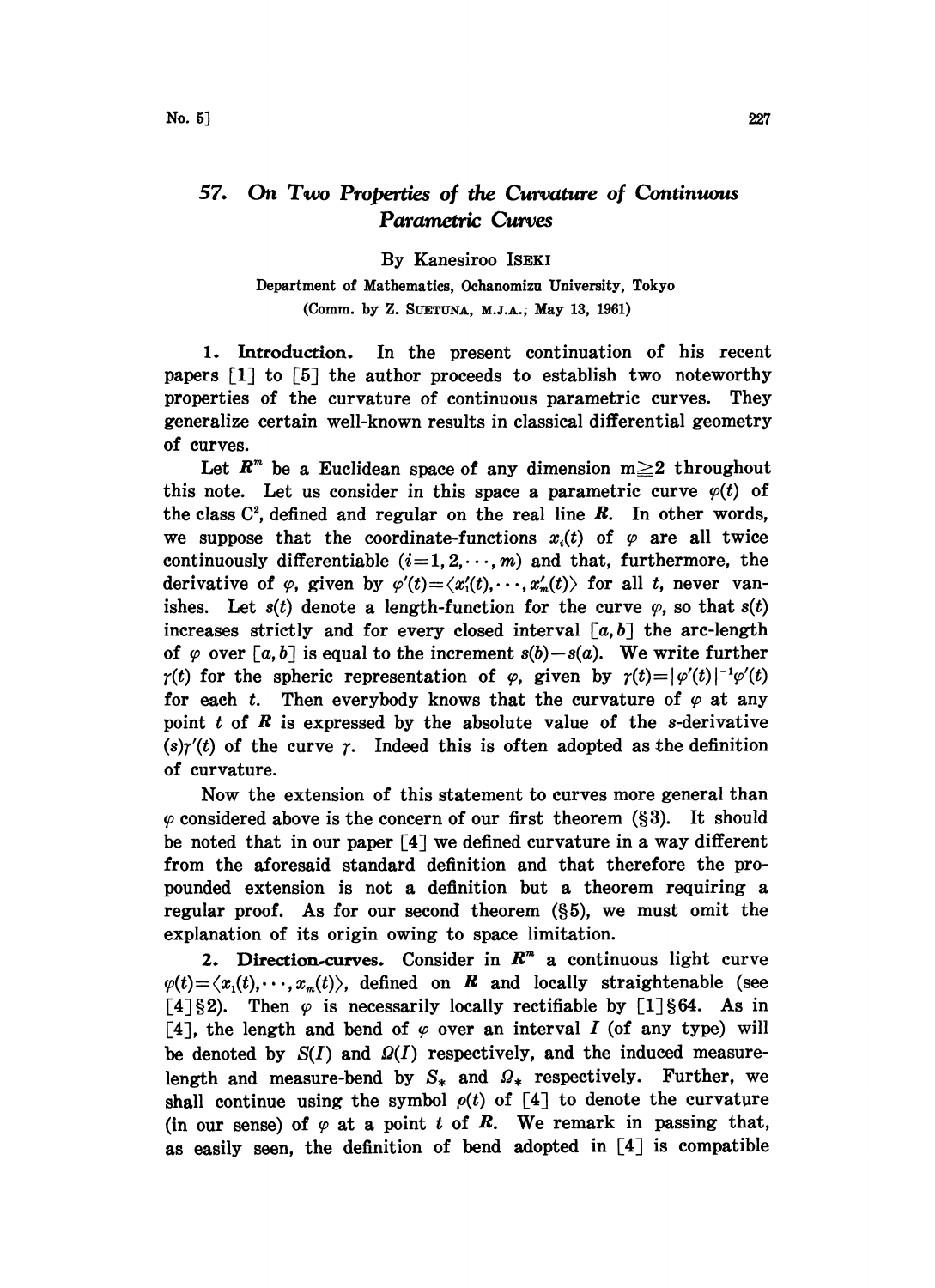## 57. On Two Properties of the Curvature of Continuous Parametric Curves

By Kanesiroo ISEKI

Department of Mathematics, Ochanomizu University, Tokyo (Comm. by Z. SUETUNA, M.J.A.; May 13, 1961)

1. Introduction. In the present continuation of his recent papers  $[1]$  to  $[5]$  the author proceeds to establish two noteworthy properties of the curvature of continuous parametric curves. They generalize certain well-known results in classical differential geometry of curves.

Let  $R^m$  be a Euclidean space of any dimension  $m \geq 2$  throughout this note. Let us consider in this space a parametric curve  $\varphi(t)$  of the class  $C^2$ , defined and regular on the real line  $R$ . In other words, we suppose that the coordinate-functions  $x_i(t)$  of  $\varphi$  are all twice continuously differentiable  $(i=1, 2, \dots, m)$  and that, furthermore, the derivative of  $\varphi$ , given by  $\varphi'(t) = \langle x_1'(t), \dots, x_n'(t) \rangle$  for all t, never vanishes. Let  $s(t)$  denote a length-function for the curve  $\varphi$ , so that  $s(t)$ increases strictly and for every closed interval  $[a,b]$  the arc-length of  $\varphi$  over [a, b] is equal to the increment  $s(b)-s(a)$ . We write further  $\gamma(t)$  for the spheric representation of  $\varphi$ , given by  $\gamma(t)=|\varphi'(t)|^{-1}\varphi'(t)$ for each t. Then everybody knows that the curvature of  $\varphi$  at any point  $t$  of  $R$  is expressed by the absolute value of the s-derivative  $(s)\gamma'(t)$  of the curve  $\gamma$ . Indeed this is often adopted as the definition of curvature.

Now the extension of this statement to curves more general than  $\varphi$  considered above is the concern of our first theorem (§3). It should be noted that in our paper [4] we defined curvature in a way different from the aforesaid standard definition and that therefore the propounded extension is not a definition but a theorem requiring a regular proof. As for our second theorem  $(\S 5)$ , we must omit the explanation of its origin owing to space limitation.

2. Direction-curves. Consider in  $R<sup>m</sup>$  a continuous light curve  $\varphi(t) = \langle x_1(t), \dots, x_m(t) \rangle$ , defined on **R** and locally straightenable (see [4] §2). Then  $\varphi$  is necessarily locally rectifiable by [1] §64. As in [4], the length and bend of  $\varphi$  over an interval I (of any type) will be denoted by  $S(I)$  and  $\Omega(I)$  respectively, and the induced measurelength and measure-bend by  $S_*$  and  $\Omega_*$  respectively. Further, we shall continue using the symbol  $\rho(t)$  of [4] to denote the curvature (in our sense) of  $\varphi$  at a point t of **R**. We remark in passing that, as easily seen, the definition of bend adopted in [4] is compatible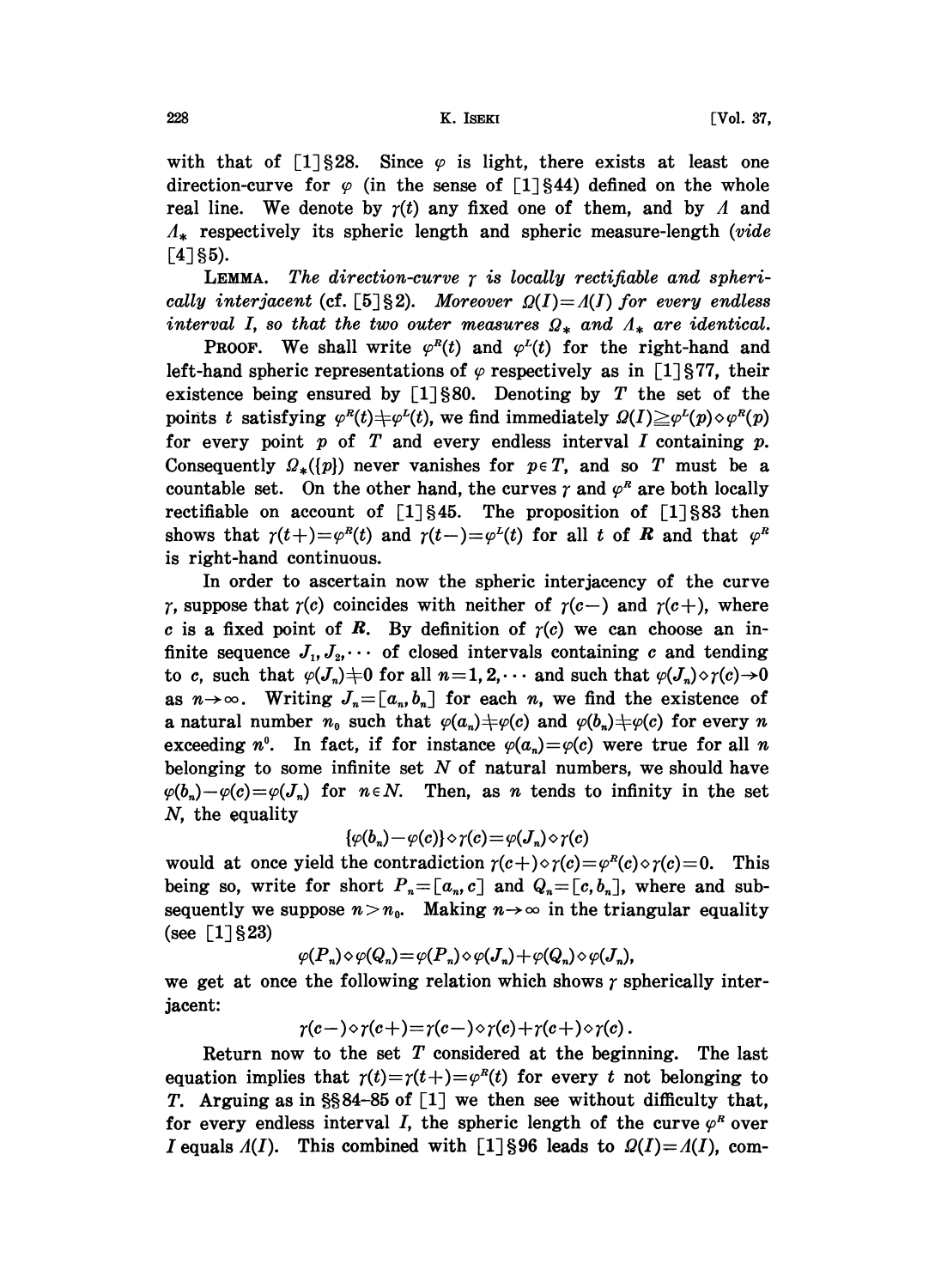with that of  $[1]$ \$28. Since  $\varphi$  is light, there exists at least one direction-curve for  $\varphi$  (in the sense of [1]§44) defined on the whole real line. We denote by  $\gamma(t)$  any fixed one of them, and by A and  $A_{\star}$  respectively its spheric length and spheric measure-length (vide  $\lceil 4 \rceil$ §5).

**LEMMA.** The direction-curve  $\gamma$  is locally rectifiable and spherically interjacent (cf. [5] §2). Moreover  $Q(I) = A(I)$  for every endless interval I, so that the two outer measures  $\Omega_*$  and  $\Lambda_*$  are identical.

**PROOF.** We shall write  $\varphi^{R}(t)$  and  $\varphi^{L}(t)$  for the right-hand and left-hand spheric representations of  $\varphi$  respectively as in [1] §77, their existence being ensured by  $[1]$ §80. Denoting by T the set of the points t satisfying  $\varphi^{R}(t)\neq \varphi^{L}(t)$ , we find immediately  $\Omega(I)\geq \varphi^{L}(p)\circ\varphi^{R}(p)$ for every point  $p$  of  $T$  and every endless interval  $I$  containing  $p$ . Consequently  $\Omega_{*}([p])$  never vanishes for  $p \in T$ , and so T must be a countable set. On the other hand, the curves  $\gamma$  and  $\varphi^R$  are both locally rectifiable on account of  $[1] \S 45$ . The proposition of  $[1] \S 83$  then shows that  $\gamma(t+) = \varphi^{R}(t)$  and  $\gamma(t-) = \varphi^{L}(t)$  for all t of R and that  $\varphi^{R}(t)$ is right-hand continuous.

In order to ascertain now the spheric interjacency of the curve  $\gamma$ , suppose that  $\gamma(c)$  coincides with neither of  $\gamma(c-)$  and  $\gamma(c+)$ , where c is a fixed point of R. By definition of  $r(c)$  we can choose an infinite sequence  $J_1, J_2, \cdots$  of closed intervals containing c and tending to c, such that  $\varphi(J_n) \neq 0$  for all  $n=1, 2, \cdots$  and such that  $\varphi(J_n) \diamond \gamma(c) \rightarrow 0$ as  $n \rightarrow \infty$ . Writing  $J_n = [a_n, b_n]$  for each n, we find the existence of a natural number  $n_0$  such that  $\varphi(a_n) \neq \varphi(c)$  and  $\varphi(b_n) \neq \varphi(c)$  for every n exceeding  $n^0$ . In fact, if for instance  $\varphi(a_n) = \varphi(c)$  were true for all n belonging to some infinite set  $N$  of natural numbers, we should have  $\varphi(b_n)-\varphi(c)=\varphi(J_n)$  for  $n \in N$ . Then, as n tends to infinity in the set N, the equality

$$
\{\varphi(b_n)-\varphi(c)\}\diamond\gamma(c)=\varphi(J_n)\diamond\gamma(c)
$$

would at once yield the contradiction  $r(c+) \diamond r(c) = \varphi^{R}(c) \diamond r(c) = 0$ . This being so, write for short  $P_n=[a_n, c]$  and  $Q_n=[c, b_n]$ , where and subsequently we suppose  $n > n_0$ . Making  $n \to \infty$  in the triangular equality (see  $\lceil 1 \rceil \frac{6}{3}$ 23)

$$
\varphi(P_n)\diamond \varphi(Q_n)=\varphi(P_n)\diamond \varphi(J_n)+\varphi(Q_n)\diamond \varphi(J_n),
$$

we get at once the following relation which shows  $\gamma$  spherically interjacent:

$$
\gamma(c-) \diamond \gamma(c+) = \gamma(c-) \diamond \gamma(c) + \gamma(c+) \diamond \gamma(c).
$$

Return now to the set  $T$  considered at the beginning. The last equation implies that  $r(t)=r(t+)={\varphi}^{R}(t)$  for every t not belonging to T. Arguing as in  $\S 84-85$  of [1] we then see without difficulty that, for every endless interval I, the spheric length of the curve  $\varphi^R$  over I equals  $A(I)$ . This combined with [1] §96 leads to  $\Omega(I) = A(I)$ , com-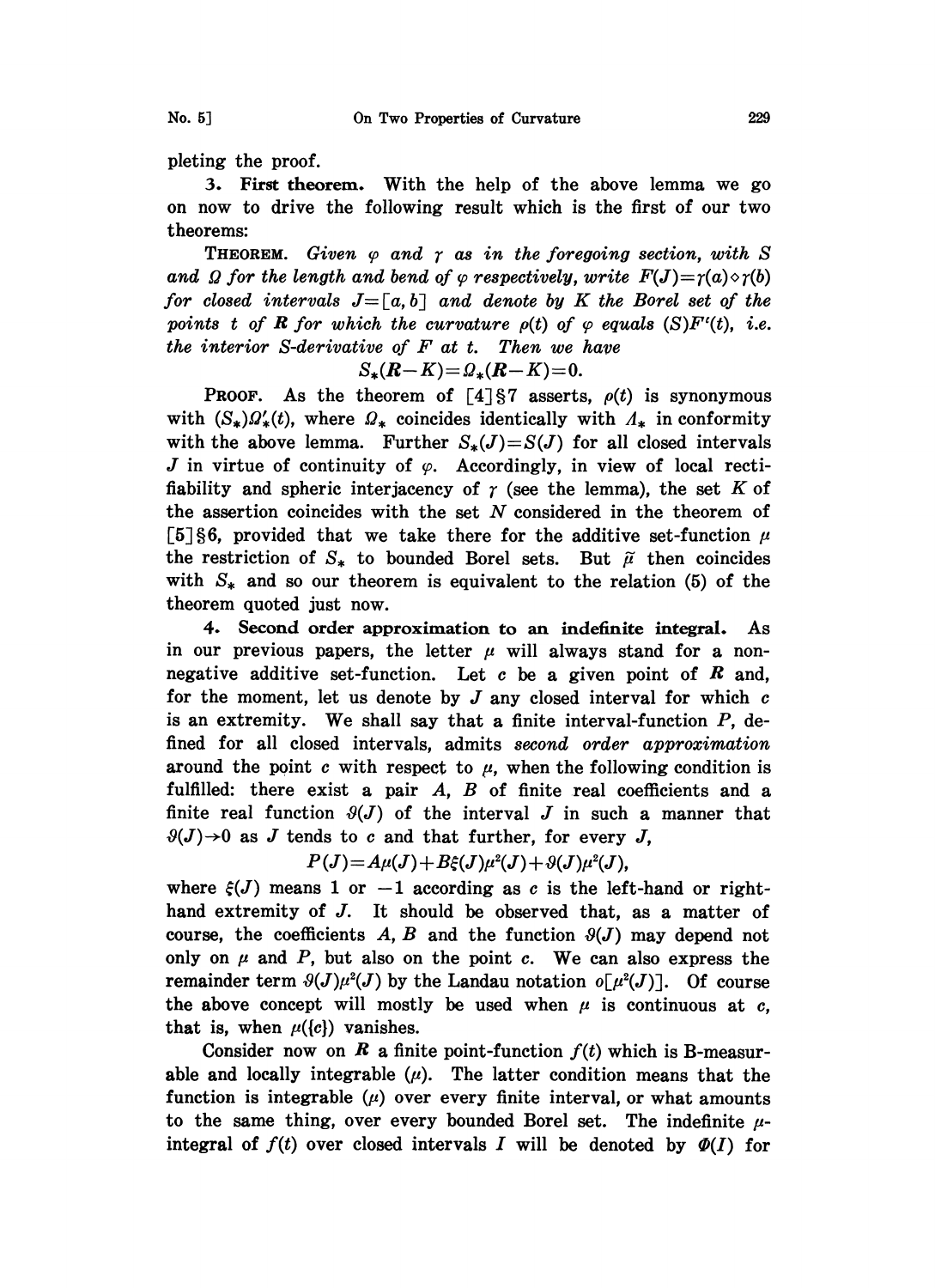pleting the proof.

3. First theorem. With the help of the above lemma we go on now to drive the following result which is the first of our two theorems:

**THEOREM.** Given  $\varphi$  and  $\gamma$  as in the foregoing section, with S and  $\Omega$  for the length and bend of  $\varphi$  respectively, write  $F(J)=\gamma(a)\diamond \gamma(b)$ for closed intervals  $J=[a, b]$  and denote by K the Borel set of the points t of **R** for which the curvature  $\rho(t)$  of  $\varphi$  equals  $(S)F'(t)$ , i.e. the interior  $S$ -derivative of  $F$  at  $t$ . Then we have

$$
S_*(R-K) = \mathcal{Q}_*(R-K) = 0.
$$

**PROOF.** As the theorem of  $\lceil 4 \rceil \rceil 7$  asserts,  $\rho(t)$  is synonymous with  $(S_*)\Omega'_*(t)$ , where  $\Omega_*$  coincides identically with  $\Lambda_*$  in conformity with the above lemma. Further  $S_*(J)=S(J)$  for all closed intervals J in virtue of continuity of  $\varphi$ . Accordingly, in view of local rectifiability and spheric interjacency of  $\gamma$  (see the lemma), the set K of the assertion coincides with the set N considered in the theorem of [5] §6, provided that we take there for the additive set-function  $\mu$ the restriction of  $S_*$  to bounded Borel sets. But  $\tilde{\mu}$  then coincides with  $S_*$  and so our theorem is equivalent to the relation (5) of the theorem quoted just now.

4. Second order approximation to an indefinite integral. As in our previous papers, the letter  $\mu$  will always stand for a nonnegative additive set-function. Let  $c$  be a given point of  $R$  and, for the moment, let us denote by  $J$  any closed interval for which  $c$ is an extremity. We shall say that a finite interval-function  $P$ , defined for all closed intervals, admits second order approximation around the point c with respect to  $\mu$ , when the following condition is fulfilled: there exist a pair  $A$ ,  $B$  of finite real coefficients and a finite real function  $\mathcal{Y}(J)$  of the interval J in such a manner that  $\vartheta(J) \rightarrow 0$  as J tends to c and that further, for every J,

$$
P(J) = A\mu(J) + B\xi(J)\mu^{2}(J) + \vartheta(J)\mu^{2}(J),
$$

 $P(J) = A\mu(J) + B\xi(J)\mu^{2}(J) + \vartheta(J)\mu^{2}(J)$ ,<br>where  $\xi(J)$  means 1 or  $-1$  according as c is the left-hand or right-<br>hand extremity of J. It should be observed that, as a matter of where  $\xi(J)$  means 1 or  $-1$  according as c is the left-hand or rightcourse, the coefficients A, B and the function  $\vartheta(J)$  may depend not only on  $\mu$  and  $P$ , but also on the point  $c$ . We can also express the remainder term  $\vartheta(J)\mu^2(J)$  by the Landau notation  $o[\mu^2(J)]$ . Of course the above concept will mostly be used when  $\mu$  is continuous at c, that is, when  $\mu({c})$  vanishes.

Consider now on R a finite point-function  $f(t)$  which is B-measurable and locally integrable  $(\mu)$ . The latter condition means that the function is integrable  $(\mu)$  over every finite interval, or what amounts to the same thing, over every bounded Borel set. The indefinite  $\mu$ integral of  $f(t)$  over closed intervals I will be denoted by  $\Phi(I)$  for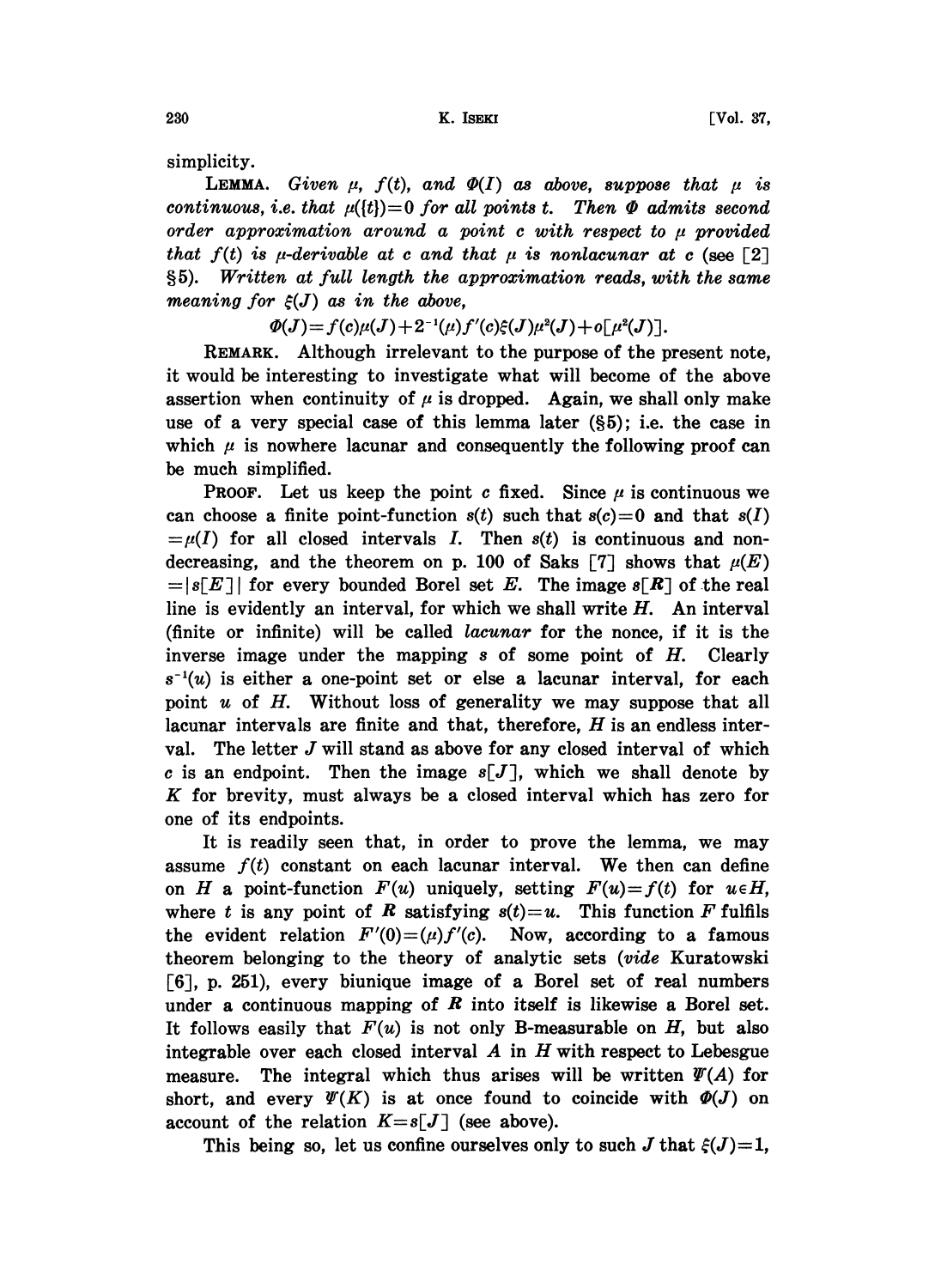simplicity.

**LEMMA.** Given  $\mu$ ,  $f(t)$ , and  $\Phi(I)$  as above, suppose that  $\mu$  is continuous, i.e. that  $\mu({t})=0$  for all points t. Then  $\Phi$  admits second order approximation around a point  $c$  with respect to  $\mu$  provided that  $f(t)$  is  $\mu$ -derivable at c and that  $\mu$  is nonlacunar at c (see [2] 5). Written at full length the approximation reads, with the same meaning for  $\xi(J)$  as in the above,

 $\Phi(J) = f(c)\mu(J) + 2^{-1}(\mu)f'(c)\xi(J)\mu^{2}(J) + o\lceil \mu^{2}(J)\rceil.$ 

 $+2^{-1}(\mu)f'(\epsilon)\xi(J)\mu^{2}(J)+o[\mu^{2}(J)].$ <br>relevant to the purpose of the p<br>investigate what will become of  $\mu$  is dropped. Again we shall REMARK. Although irrelevant to the purpose of the present note, it would be interesting to investigate what will become of the above assertion when continuity of  $\mu$  is dropped. Again, we shall only make use of a very special case of this lemma later  $(\S 5)$ ; i.e. the case in which  $\mu$  is nowhere lacunar and consequently the following proof can be much simplified.

**PROOF.** Let us keep the point c fixed. Since  $\mu$  is continuous we can choose a finite point-function  $s(t)$  such that  $s(c)=0$  and that  $s(I)$  $=\mu(I)$  for all closed intervals I. Then  $s(t)$  is continuous and nondecreasing, and the theorem on p. 100 of Saks [7] shows that  $\mu(E)$  $=|s[E]|$  for every bounded Borel set E. The image  $s[R]$  of the real line is evidently an interval, for which we shall write  $H$ . An interval (finite or infinite) will be called lacunar for the nonce, if it is the inverse image under the mapping  $s$  of some point of  $H$ . Clearly  $s^{-1}(u)$  is either a one-point set or else a lacunar interval, for each point  $u$  of  $H$ . Without loss of generality we may suppose that all lacunar intervals are finite and that, therefore,  $H$  is an endless interval. The letter  $J$  will stand as above for any closed interval of which c is an endpoint. Then the image  $s[J]$ , which we shall denote by K for brevity, must always be <sup>a</sup> closed interval which has zero for one of its endpoints.

It is readily seen that, in order to prove the lemma, we may assume  $f(t)$  constant on each lacunar interval. We then can define on H a point-function  $F(u)$  uniquely, setting  $F(u)=f(t)$  for  $u \in H$ , where t is any point of R satisfying  $s(t)=u$ . This function F fulfils the evident relation  $F'(0)=(\mu)f'(c)$ . Now, according to a famous theorem belonging to the theory of analytic sets (vide Kuratowski [6], p. 251), every biunique image of a Borel set of real numbers under a continuous mapping of  $\bm{R}$  into itself is likewise a Borel set. It follows easily that  $F(u)$  is not only B-measurable on H, but also integrable over each closed interval  $A$  in  $H$  with respect to Lebesgue measure. The integral which thus arises will be written  $\Psi(A)$  for short, and every  $\mathcal{V}(K)$  is at once found to coincide with  $\mathcal{P}(J)$  on account of the relation  $K=s[J]$  (see above).

This being so, let us confine ourselves only to such J that  $\xi(J)=1$ ,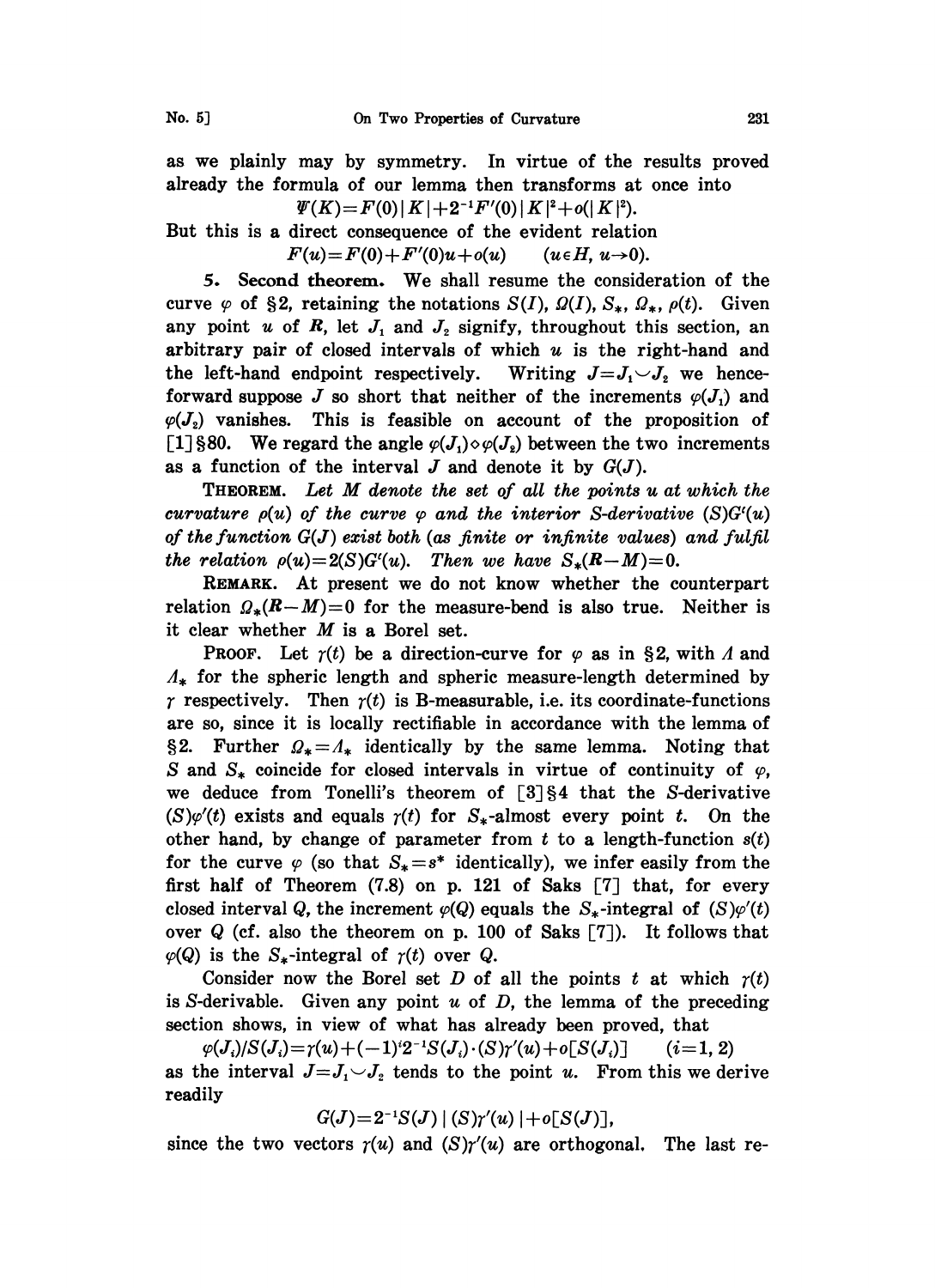as we plainly may by symmetry. In virtue of the results proved already the formula of our lemma then transforms at once into

 $\mathcal{W}(K) = F(0) |K| + 2^{-1} F'(0) |K|^2 + o(|K|^2).$ 

But this is a direct consequence of the evident relation

 $F(u)=F(0)+F'(0)u+o(u)$  ( $u \in H$ ,  $u\to 0$ ).

5. Second theorem. We shall resume the consideration of the curve  $\varphi$  of §2, retaining the notations  $S(I)$ ,  $\Omega(I)$ ,  $S_*, \Omega_*, \rho(t)$ . Given any point u of R, let  $J_1$  and  $J_2$  signify, throughout this section, an arbitrary pair of closed intervals of which  $u$  is the right-hand and the left-hand endpoint respectively. Writing  $J = J_1 \cup J_2$  we henceforward suppose J so short that neither of the increments  $\varphi(J_1)$  and  $\varphi(J_2)$  vanishes. This is feasible on account of the proposition of [1] §80. We regard the angle  $\varphi(J_1) \diamond \varphi(J_2)$  between the two increments as a function of the interval  $J$  and denote it by  $G(J)$ .

THEOREM. Let M denote the set of all the points <sup>u</sup> at which the curvature  $\rho(u)$  of the curve  $\varphi$  and the interior S-derivative (S)G'(u) of the function  $G(J)$  exist both (as finite or infinite values) and fulfil the relation  $\rho(u)=2(S)G'(u)$ . Then we have  $S_*(R-M)=0$ .

REMARK. At present we do not know whether the counterpart relation  $\mathcal{Q}_*(R-M)=0$  for the measure-bend is also true. Neither is it clear whether  $M$  is a Borel set.

**PROOF.** Let  $\gamma(t)$  be a direction-curve for  $\varphi$  as in §2, with  $\Lambda$  and  $\Lambda_{\star}$  for the spheric length and spheric measure-length determined by  $\gamma$  respectively. Then  $\gamma(t)$  is B-measurable, i.e. its coordinate-functions are so, since it is locally rectifiable in accordance with the lemma of §2. Further  $Q_* = A_*$  identically by the same lemma. Noting that S and  $S_*$  coincide for closed intervals in virtue of continuity of  $\varphi$ , we deduce from Tonelli's theorem of  $[3]$ §4 that the S-derivative  $(S)\varphi'(t)$  exists and equals  $\gamma(t)$  for  $S_*$ -almost every point t. On the other hand, by change of parameter from  $t$  to a length-function  $s(t)$ for the curve  $\varphi$  (so that  $S_* = s^*$  identically), we infer easily from the first half of Theorem (7.8) on p. 121 of Saks [7] that, for every closed interval Q, the increment  $\varphi(Q)$  equals the  $S_*$ -integral of  $(S)\varphi'(t)$ over  $Q$  (cf. also the theorem on p. 100 of Saks  $[7]$ ). It follows that  $\varphi(Q)$  is the S<sub>\*</sub>-integral of  $\gamma(t)$  over Q.

Consider now the Borel set D of all the points t at which  $r(t)$ is S-derivable. Given any point  $u$  of  $D$ , the lemma of the preceding section shows, in view of what has already been proved, that

 $\varphi(J_i)/S(J_i)=\gamma(u)+(-1)^i2^{-1}S(J_i)\cdot(S)\gamma'(u)+o[S(J_i)]$  (i=1, 2) as the interval  $J = J_1 \cup J_2$  tends to the point u. From this we derive readily

 $G(J)=2^{-1}S(J)$   $|(S)\gamma'(u)|+o[S(J)]$ ,

since the two vectors  $r(u)$  and  $(S)r'(u)$  are orthogonal. The last re-